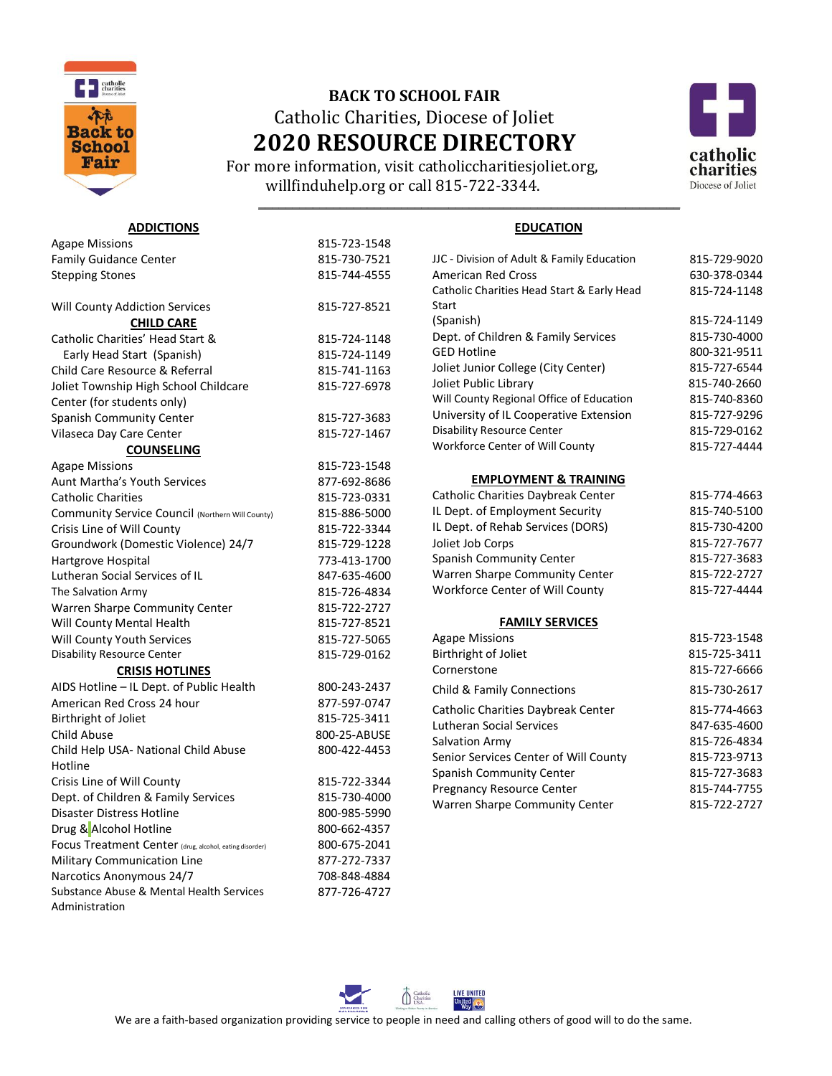

**ADDICTIONS**

## **BACK TO SCHOOL FAIR** Catholic Charities, Diocese of Joliet **2020 RESOURCE DIRECTORY**

 For more information, visit catholiccharitiesjoliet.org, willfinduhelp.org or call 815-722-3344. **1** *b* 



## **EDUCATION**

| <b>Agape Missions</b>                                   | 815-723-1548 |                                            |              |
|---------------------------------------------------------|--------------|--------------------------------------------|--------------|
| <b>Family Guidance Center</b>                           | 815-730-7521 | JJC - Division of Adult & Family Education | 815-729-9020 |
| <b>Stepping Stones</b>                                  | 815-744-4555 | <b>American Red Cross</b>                  | 630-378-0344 |
|                                                         |              | Catholic Charities Head Start & Early Head | 815-724-1148 |
| <b>Will County Addiction Services</b>                   | 815-727-8521 | Start                                      |              |
| <b>CHILD CARE</b>                                       |              | (Spanish)                                  | 815-724-1149 |
| Catholic Charities' Head Start &                        | 815-724-1148 | Dept. of Children & Family Services        | 815-730-4000 |
| Early Head Start (Spanish)                              | 815-724-1149 | <b>GED Hotline</b>                         | 800-321-9511 |
| Child Care Resource & Referral                          | 815-741-1163 | Joliet Junior College (City Center)        | 815-727-6544 |
| Joliet Township High School Childcare                   | 815-727-6978 | Joliet Public Library                      | 815-740-2660 |
| Center (for students only)                              |              | Will County Regional Office of Education   | 815-740-8360 |
| <b>Spanish Community Center</b>                         | 815-727-3683 | University of IL Cooperative Extension     | 815-727-9296 |
| Vilaseca Day Care Center                                | 815-727-1467 | <b>Disability Resource Center</b>          | 815-729-0162 |
| <b>COUNSELING</b>                                       |              | Workforce Center of Will County            | 815-727-4444 |
| <b>Agape Missions</b>                                   | 815-723-1548 |                                            |              |
| Aunt Martha's Youth Services                            | 877-692-8686 | <b>EMPLOYMENT &amp; TRAINING</b>           |              |
| <b>Catholic Charities</b>                               | 815-723-0331 | Catholic Charities Daybreak Center         | 815-774-4663 |
| Community Service Council (Northern Will County)        | 815-886-5000 | IL Dept. of Employment Security            | 815-740-5100 |
| Crisis Line of Will County                              | 815-722-3344 | IL Dept. of Rehab Services (DORS)          | 815-730-4200 |
| Groundwork (Domestic Violence) 24/7                     | 815-729-1228 | Joliet Job Corps                           | 815-727-7677 |
| Hartgrove Hospital                                      | 773-413-1700 | Spanish Community Center                   | 815-727-3683 |
| Lutheran Social Services of IL                          | 847-635-4600 | Warren Sharpe Community Center             | 815-722-2727 |
| The Salvation Army                                      | 815-726-4834 | Workforce Center of Will County            | 815-727-4444 |
| Warren Sharpe Community Center                          | 815-722-2727 |                                            |              |
| Will County Mental Health                               | 815-727-8521 | <b>FAMILY SERVICES</b>                     |              |
| Will County Youth Services                              | 815-727-5065 | <b>Agape Missions</b>                      | 815-723-1548 |
| <b>Disability Resource Center</b>                       | 815-729-0162 | Birthright of Joliet                       | 815-725-3411 |
| <b>CRISIS HOTLINES</b>                                  |              | Cornerstone                                | 815-727-6666 |
| AIDS Hotline - IL Dept. of Public Health                | 800-243-2437 | Child & Family Connections                 | 815-730-2617 |
| American Red Cross 24 hour                              | 877-597-0747 | Catholic Charities Daybreak Center         | 815-774-4663 |
| Birthright of Joliet                                    | 815-725-3411 | <b>Lutheran Social Services</b>            | 847-635-4600 |
| Child Abuse                                             | 800-25-ABUSE | Salvation Army                             | 815-726-4834 |
| Child Help USA- National Child Abuse                    | 800-422-4453 | Senior Services Center of Will County      | 815-723-9713 |
| Hotline                                                 |              | Spanish Community Center                   | 815-727-3683 |
| Crisis Line of Will County                              | 815-722-3344 | <b>Pregnancy Resource Center</b>           | 815-744-7755 |
| Dept. of Children & Family Services                     | 815-730-4000 | Warren Sharpe Community Center             | 815-722-2727 |
| <b>Disaster Distress Hotline</b>                        | 800-985-5990 |                                            |              |
| Drug & Alcohol Hotline                                  | 800-662-4357 |                                            |              |
| Focus Treatment Center (drug, alcohol, eating disorder) | 800-675-2041 |                                            |              |
| Military Communication Line                             | 877-272-7337 |                                            |              |
| Narcotics Anonymous 24/7                                | 708-848-4884 |                                            |              |
| Substance Abuse & Mental Health Services                | 877-726-4727 |                                            |              |
| Administration                                          |              |                                            |              |